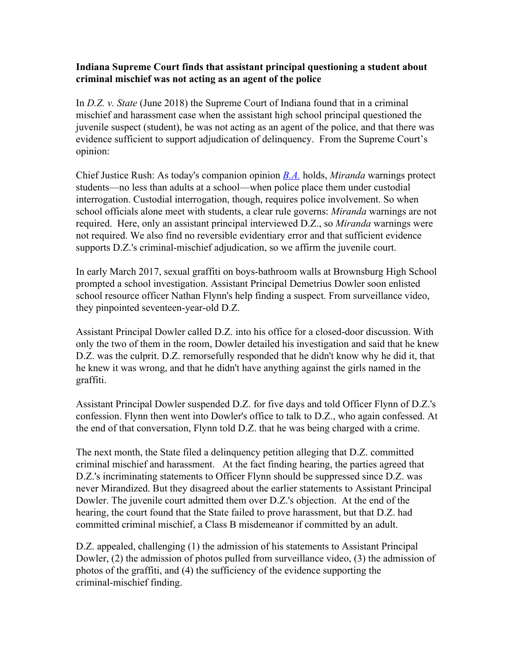## **Indiana Supreme Court finds that assistant principal questioning a student about criminal mischief was not acting as an agent of the police**

In *D.Z. v. State* (June 2018) the Supreme Court of Indiana found that in a criminal mischief and harassment case when the assistant high school principal questioned the juvenile suspect (student), he was not acting as an agent of the police, and that there was evidence sufficient to support adjudication of delinquency. From the Supreme Court's opinion:

Chief Justice Rush: As today's companion opinion *[B.A.](https://1.next.westlaw.com/Link/Document/FullText?findType=Y&serNum=2044772010&pubNum=0004031&originatingDoc=I43984d1074fe11e8b29df1bcacd7c41c&refType=RP&originationContext=document&transitionType=DocumentItem&contextData=(sc.Default))* holds, *Miranda* warnings protect students—no less than adults at a school—when police place them under custodial interrogation. Custodial interrogation, though, requires police involvement. So when school officials alone meet with students, a clear rule governs: *Miranda* warnings are not required. Here, only an assistant principal interviewed D.Z., so *Miranda* warnings were not required. We also find no reversible evidentiary error and that sufficient evidence supports D.Z.'s criminal-mischief adjudication, so we affirm the juvenile court.

In early March 2017, sexual graffiti on boys-bathroom walls at Brownsburg High School prompted a school investigation. Assistant Principal Demetrius Dowler soon enlisted school resource officer Nathan Flynn's help finding a suspect. From surveillance video, they pinpointed seventeen-year-old D.Z.

Assistant Principal Dowler called D.Z. into his office for a closed-door discussion. With only the two of them in the room, Dowler detailed his investigation and said that he knew D.Z. was the culprit. D.Z. remorsefully responded that he didn't know why he did it, that he knew it was wrong, and that he didn't have anything against the girls named in the graffiti.

Assistant Principal Dowler suspended D.Z. for five days and told Officer Flynn of D.Z.'s confession. Flynn then went into Dowler's office to talk to D.Z., who again confessed. At the end of that conversation, Flynn told D.Z. that he was being charged with a crime.

The next month, the State filed a delinquency petition alleging that D.Z. committed criminal mischief and harassment. At the fact finding hearing, the parties agreed that D.Z.'s incriminating statements to Officer Flynn should be suppressed since D.Z. was never Mirandized. But they disagreed about the earlier statements to Assistant Principal Dowler. The juvenile court admitted them over D.Z.'s objection. At the end of the hearing, the court found that the State failed to prove harassment, but that D.Z. had committed criminal mischief, a Class B misdemeanor if committed by an adult.

D.Z. appealed, challenging (1) the admission of his statements to Assistant Principal Dowler, (2) the admission of photos pulled from surveillance video, (3) the admission of photos of the graffiti, and (4) the sufficiency of the evidence supporting the criminal-mischief finding.